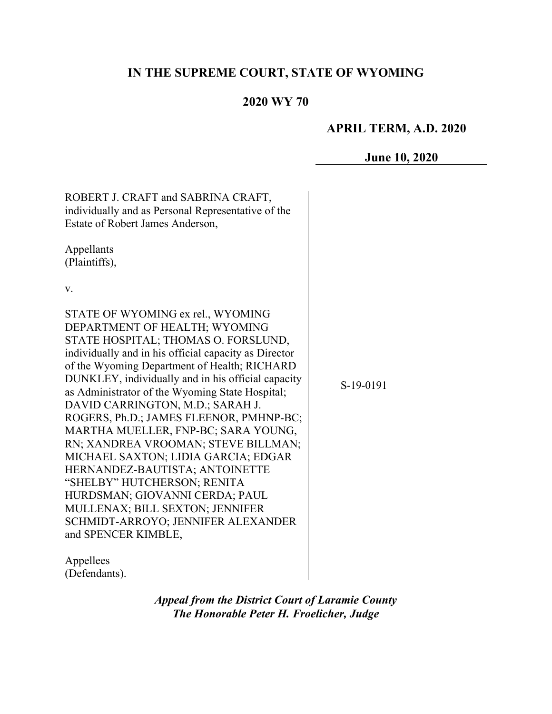# **IN THE SUPREME COURT, STATE OF WYOMING**

## **2020 WY 70**

### **APRIL TERM, A.D. 2020**

#### **June 10, 2020**

ROBERT J. CRAFT and SABRINA CRAFT, individually and as Personal Representative of the Estate of Robert James Anderson, Appellants (Plaintiffs), v. STATE OF WYOMING ex rel., WYOMING DEPARTMENT OF HEALTH; WYOMING STATE HOSPITAL; THOMAS O. FORSLUND, individually and in his official capacity as Director of the Wyoming Department of Health; RICHARD DUNKLEY, individually and in his official capacity as Administrator of the Wyoming State Hospital; DAVID CARRINGTON, M.D.; SARAH J. ROGERS, Ph.D.; JAMES FLEENOR, PMHNP-BC; MARTHA MUELLER, FNP-BC; SARA YOUNG, RN; XANDREA VROOMAN; STEVE BILLMAN; MICHAEL SAXTON; LIDIA GARCIA; EDGAR HERNANDEZ-BAUTISTA; ANTOINETTE "SHELBY" HUTCHERSON; RENITA HURDSMAN; GIOVANNI CERDA; PAUL MULLENAX; BILL SEXTON; JENNIFER SCHMIDT-ARROYO; JENNIFER ALEXANDER and SPENCER KIMBLE,

S-19-0191

Appellees (Defendants).

> *Appeal from the District Court of Laramie County The Honorable Peter H. Froelicher, Judge*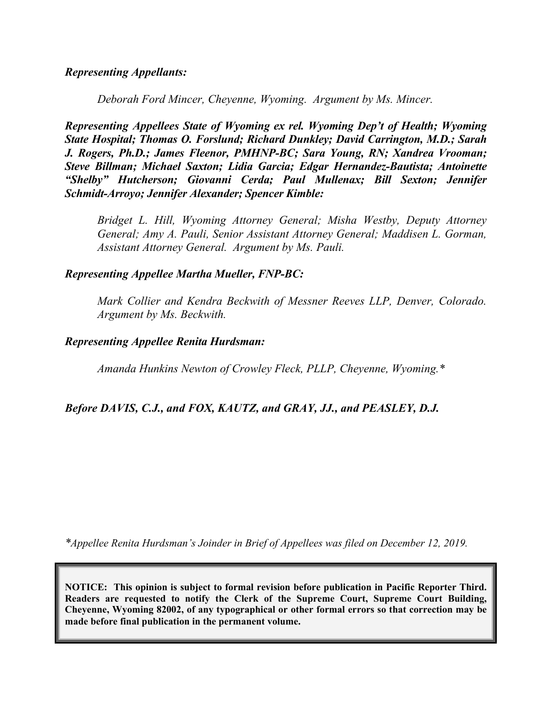### *Representing Appellants:*

*Deborah Ford Mincer, Cheyenne, Wyoming. Argument by Ms. Mincer.*

*Representing Appellees State of Wyoming ex rel. Wyoming Dep't of Health; Wyoming State Hospital; Thomas O. Forslund; Richard Dunkley; David Carrington, M.D.; Sarah J. Rogers, Ph.D.; James Fleenor, PMHNP-BC; Sara Young, RN; Xandrea Vrooman; Steve Billman; Michael Saxton; Lidia Garcia; Edgar Hernandez-Bautista; Antoinette "Shelby" Hutcherson; Giovanni Cerda; Paul Mullenax; Bill Sexton; Jennifer Schmidt-Arroyo; Jennifer Alexander; Spencer Kimble:*

*Bridget L. Hill, Wyoming Attorney General; Misha Westby, Deputy Attorney General; Amy A. Pauli, Senior Assistant Attorney General; Maddisen L. Gorman, Assistant Attorney General. Argument by Ms. Pauli.*

#### *Representing Appellee Martha Mueller, FNP-BC:*

*Mark Collier and Kendra Beckwith of Messner Reeves LLP, Denver, Colorado. Argument by Ms. Beckwith.*

#### *Representing Appellee Renita Hurdsman:*

*Amanda Hunkins Newton of Crowley Fleck, PLLP, Cheyenne, Wyoming.\** 

### *Before DAVIS, C.J., and FOX, KAUTZ, and GRAY, JJ., and PEASLEY, D.J.*

*\*Appellee Renita Hurdsman's Joinder in Brief of Appellees was filed on December 12, 2019.*

**NOTICE: This opinion is subject to formal revision before publication in Pacific Reporter Third. Readers are requested to notify the Clerk of the Supreme Court, Supreme Court Building, Cheyenne, Wyoming 82002, of any typographical or other formal errors so that correction may be made before final publication in the permanent volume.**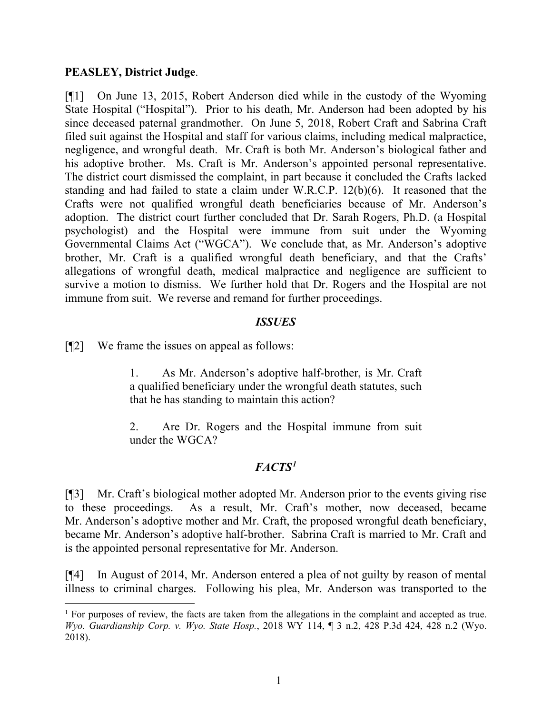#### **PEASLEY, District Judge**.

[¶1] On June 13, 2015, Robert Anderson died while in the custody of the Wyoming State Hospital ("Hospital"). Prior to his death, Mr. Anderson had been adopted by his since deceased paternal grandmother. On June 5, 2018, Robert Craft and Sabrina Craft filed suit against the Hospital and staff for various claims, including medical malpractice, negligence, and wrongful death. Mr. Craft is both Mr. Anderson's biological father and his adoptive brother. Ms. Craft is Mr. Anderson's appointed personal representative. The district court dismissed the complaint, in part because it concluded the Crafts lacked standing and had failed to state a claim under W.R.C.P. 12(b)(6). It reasoned that the Crafts were not qualified wrongful death beneficiaries because of Mr. Anderson's adoption. The district court further concluded that Dr. Sarah Rogers, Ph.D. (a Hospital psychologist) and the Hospital were immune from suit under the Wyoming Governmental Claims Act ("WGCA"). We conclude that, as Mr. Anderson's adoptive brother, Mr. Craft is a qualified wrongful death beneficiary, and that the Crafts' allegations of wrongful death, medical malpractice and negligence are sufficient to survive a motion to dismiss. We further hold that Dr. Rogers and the Hospital are not immune from suit. We reverse and remand for further proceedings.

### *ISSUES*

[¶2] We frame the issues on appeal as follows:

1. As Mr. Anderson's adoptive half-brother, is Mr. Craft a qualified beneficiary under the wrongful death statutes, such that he has standing to maintain this action?

2. Are Dr. Rogers and the Hospital immune from suit under the WGCA?

## *FACTS[1](#page-2-0)*

[¶3] Mr. Craft's biological mother adopted Mr. Anderson prior to the events giving rise to these proceedings. As a result, Mr. Craft's mother, now deceased, became Mr. Anderson's adoptive mother and Mr. Craft, the proposed wrongful death beneficiary, became Mr. Anderson's adoptive half-brother. Sabrina Craft is married to Mr. Craft and is the appointed personal representative for Mr. Anderson.

[¶4] In August of 2014, Mr. Anderson entered a plea of not guilty by reason of mental illness to criminal charges. Following his plea, Mr. Anderson was transported to the

<span id="page-2-0"></span><sup>&</sup>lt;sup>1</sup> For purposes of review, the facts are taken from the allegations in the complaint and accepted as true. *Wyo. Guardianship Corp. v. Wyo. State Hosp.*, 2018 WY 114, ¶ 3 n.2, 428 P.3d 424, 428 n.2 (Wyo. 2018).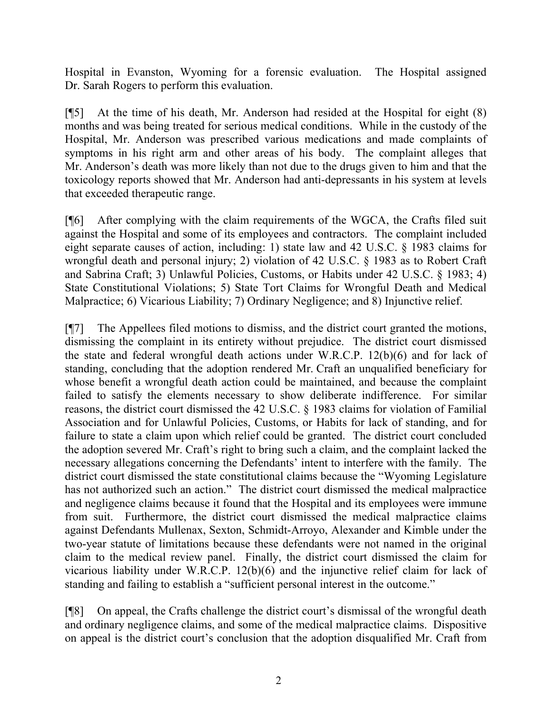Hospital in Evanston, Wyoming for a forensic evaluation. The Hospital assigned Dr. Sarah Rogers to perform this evaluation.

[¶5] At the time of his death, Mr. Anderson had resided at the Hospital for eight (8) months and was being treated for serious medical conditions. While in the custody of the Hospital, Mr. Anderson was prescribed various medications and made complaints of symptoms in his right arm and other areas of his body. The complaint alleges that Mr. Anderson's death was more likely than not due to the drugs given to him and that the toxicology reports showed that Mr. Anderson had anti-depressants in his system at levels that exceeded therapeutic range.

[¶6] After complying with the claim requirements of the WGCA, the Crafts filed suit against the Hospital and some of its employees and contractors. The complaint included eight separate causes of action, including: 1) state law and 42 U.S.C. § 1983 claims for wrongful death and personal injury; 2) violation of 42 U.S.C. § 1983 as to Robert Craft and Sabrina Craft; 3) Unlawful Policies, Customs, or Habits under 42 U.S.C. § 1983; 4) State Constitutional Violations; 5) State Tort Claims for Wrongful Death and Medical Malpractice; 6) Vicarious Liability; 7) Ordinary Negligence; and 8) Injunctive relief.

[¶7] The Appellees filed motions to dismiss, and the district court granted the motions, dismissing the complaint in its entirety without prejudice. The district court dismissed the state and federal wrongful death actions under W.R.C.P. 12(b)(6) and for lack of standing, concluding that the adoption rendered Mr. Craft an unqualified beneficiary for whose benefit a wrongful death action could be maintained, and because the complaint failed to satisfy the elements necessary to show deliberate indifference. For similar reasons, the district court dismissed the 42 U.S.C. § 1983 claims for violation of Familial Association and for Unlawful Policies, Customs, or Habits for lack of standing, and for failure to state a claim upon which relief could be granted. The district court concluded the adoption severed Mr. Craft's right to bring such a claim, and the complaint lacked the necessary allegations concerning the Defendants' intent to interfere with the family. The district court dismissed the state constitutional claims because the "Wyoming Legislature has not authorized such an action." The district court dismissed the medical malpractice and negligence claims because it found that the Hospital and its employees were immune from suit. Furthermore, the district court dismissed the medical malpractice claims against Defendants Mullenax, Sexton, Schmidt-Arroyo, Alexander and Kimble under the two-year statute of limitations because these defendants were not named in the original claim to the medical review panel. Finally, the district court dismissed the claim for vicarious liability under W.R.C.P. 12(b)(6) and the injunctive relief claim for lack of standing and failing to establish a "sufficient personal interest in the outcome."

[¶8] On appeal, the Crafts challenge the district court's dismissal of the wrongful death and ordinary negligence claims, and some of the medical malpractice claims. Dispositive on appeal is the district court's conclusion that the adoption disqualified Mr. Craft from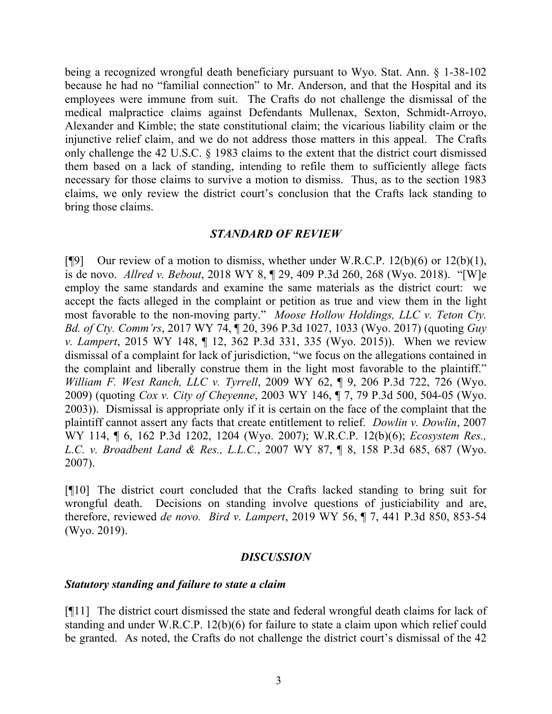being a recognized wrongful death beneficiary pursuant to Wyo. Stat. Ann. § 1-38-102 because he had no "familial connection" to Mr. Anderson, and that the Hospital and its employees were immune from suit. The Crafts do not challenge the dismissal of the medical malpractice claims against Defendants Mullenax, Sexton, Schmidt-Arroyo, Alexander and Kimble; the state constitutional claim; the vicarious liability claim or the injunctive relief claim, and we do not address those matters in this appeal. The Crafts only challenge the 42 U.S.C. § 1983 claims to the extent that the district court dismissed them based on a lack of standing, intending to refile them to sufficiently allege facts necessary for those claims to survive a motion to dismiss. Thus, as to the section 1983 claims, we only review the district court's conclusion that the Crafts lack standing to bring those claims.

### *STANDARD OF REVIEW*

[ $[$ [9] Our review of a motion to dismiss, whether under W.R.C.P. 12(b)(6) or 12(b)(1), is de novo. *Allred v. Bebout*, 2018 WY 8, ¶ 29, 409 P.3d 260, 268 (Wyo. 2018). "[W]e employ the same standards and examine the same materials as the district court: we accept the facts alleged in the complaint or petition as true and view them in the light most favorable to the non-moving party." *Moose Hollow Holdings, LLC v. Teton Cty. Bd. of Cty. Comm'rs*, 2017 WY 74, ¶ 20, 396 P.3d 1027, 1033 (Wyo. 2017) (quoting *Guy v. Lampert*, 2015 WY 148, ¶ 12, 362 P.3d 331, 335 (Wyo. 2015)). When we review dismissal of a complaint for lack of jurisdiction, "we focus on the allegations contained in the complaint and liberally construe them in the light most favorable to the plaintiff." *William F. West Ranch, LLC v. Tyrrell*, 2009 WY 62, ¶ 9, 206 P.3d 722, 726 (Wyo. 2009) (quoting *Cox v. City of Cheyenne*, 2003 WY 146, ¶ 7, 79 P.3d 500, 504-05 (Wyo. 2003)). Dismissal is appropriate only if it is certain on the face of the complaint that the plaintiff cannot assert any facts that create entitlement to relief. *Dowlin v. Dowlin*, 2007 WY 114, ¶ 6, 162 P.3d 1202, 1204 (Wyo. 2007); W.R.C.P. 12(b)(6); *Ecosystem Res., L.C. v. Broadbent Land & Res., L.L.C.*, 2007 WY 87, ¶ 8, 158 P.3d 685, 687 (Wyo. 2007).

[¶10] The district court concluded that the Crafts lacked standing to bring suit for wrongful death. Decisions on standing involve questions of justiciability and are, therefore, reviewed *de novo. Bird v. Lampert*, 2019 WY 56, ¶ 7, 441 P.3d 850, 853-54 (Wyo. 2019).

### *DISCUSSION*

### *Statutory standing and failure to state a claim*

[¶11] The district court dismissed the state and federal wrongful death claims for lack of standing and under W.R.C.P. 12(b)(6) for failure to state a claim upon which relief could be granted. As noted, the Crafts do not challenge the district court's dismissal of the 42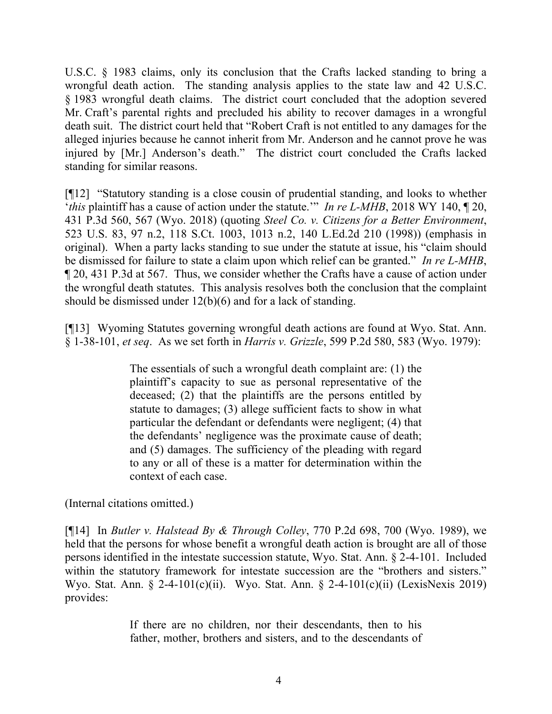U.S.C. § 1983 claims, only its conclusion that the Crafts lacked standing to bring a wrongful death action. The standing analysis applies to the state law and 42 U.S.C. § 1983 wrongful death claims. The district court concluded that the adoption severed Mr. Craft's parental rights and precluded his ability to recover damages in a wrongful death suit. The district court held that "Robert Craft is not entitled to any damages for the alleged injuries because he cannot inherit from Mr. Anderson and he cannot prove he was injured by [Mr.] Anderson's death." The district court concluded the Crafts lacked standing for similar reasons.

[¶12] "Statutory standing is a close cousin of prudential standing, and looks to whether '*this* plaintiff has a cause of action under the statute.'" *In re L-MHB*, 2018 WY 140, ¶ 20, 431 P.3d 560, 567 (Wyo. 2018) (quoting *Steel Co. v. Citizens for a Better Environment*, 523 U.S. 83, 97 n.2, 118 S.Ct. 1003, 1013 n.2, 140 L.Ed.2d 210 (1998)) (emphasis in original). When a party lacks standing to sue under the statute at issue, his "claim should be dismissed for failure to state a claim upon which relief can be granted." *In re L-MHB*, ¶ 20, 431 P.3d at 567.Thus, we consider whether the Crafts have a cause of action under the wrongful death statutes. This analysis resolves both the conclusion that the complaint should be dismissed under 12(b)(6) and for a lack of standing.

[¶13] Wyoming Statutes governing wrongful death actions are found at Wyo. Stat. Ann. § 1-38-101, *et seq*. As we set forth in *Harris v. Grizzle*, 599 P.2d 580, 583 (Wyo. 1979):

> The essentials of such a wrongful death complaint are: (1) the plaintiff's capacity to sue as personal representative of the deceased; (2) that the plaintiffs are the persons entitled by statute to damages; (3) allege sufficient facts to show in what particular the defendant or defendants were negligent; (4) that the defendants' negligence was the proximate cause of death; and (5) damages. The sufficiency of the pleading with regard to any or all of these is a matter for determination within the context of each case.

(Internal citations omitted.)

[¶14] In *Butler v. Halstead By & Through Colley*, 770 P.2d 698, 700 (Wyo. 1989), we held that the persons for whose benefit a wrongful death action is brought are all of those persons identified in the intestate succession statute, Wyo. Stat. Ann. § 2-4-101. Included within the statutory framework for intestate succession are the "brothers and sisters." Wyo. Stat. Ann. § 2-4-101(c)(ii). Wyo. Stat. Ann. § 2-4-101(c)(ii) (LexisNexis 2019) provides:

> If there are no children, nor their descendants, then to his father, mother, brothers and sisters, and to the descendants of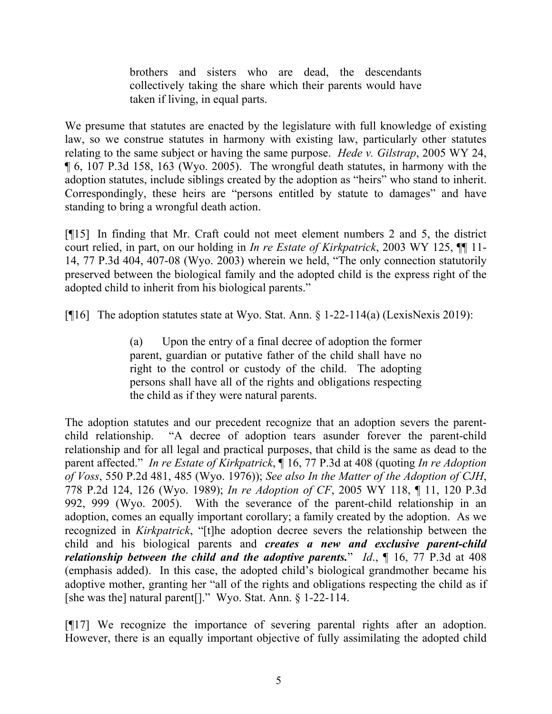brothers and sisters who are dead, the descendants collectively taking the share which their parents would have taken if living, in equal parts.

We presume that statutes are enacted by the legislature with full knowledge of existing law, so we construe statutes in harmony with existing law, particularly other statutes relating to the same subject or having the same purpose. *Hede v. Gilstrap*, 2005 WY 24, ¶ 6, 107 P.3d 158, 163 (Wyo. 2005). The wrongful death statutes, in harmony with the adoption statutes, include siblings created by the adoption as "heirs" who stand to inherit. Correspondingly, these heirs are "persons entitled by statute to damages" and have standing to bring a wrongful death action.

[¶15] In finding that Mr. Craft could not meet element numbers 2 and 5, the district court relied, in part, on our holding in *In re Estate of Kirkpatrick*, 2003 WY 125, ¶¶ 11- 14, 77 P.3d 404, 407-08 (Wyo. 2003) wherein we held, "The only connection statutorily preserved between the biological family and the adopted child is the express right of the adopted child to inherit from his biological parents."

[¶16] The adoption statutes state at Wyo. Stat. Ann. § 1-22-114(a) (LexisNexis 2019):

(a) Upon the entry of a final decree of adoption the former parent, guardian or putative father of the child shall have no right to the control or custody of the child. The adopting persons shall have all of the rights and obligations respecting the child as if they were natural parents.

The adoption statutes and our precedent recognize that an adoption severs the parentchild relationship. "A decree of adoption tears asunder forever the parent-child relationship and for all legal and practical purposes, that child is the same as dead to the parent affected." *In re Estate of Kirkpatrick*, ¶ 16, 77 P.3d at 408 (quoting *In re Adoption of Voss*, 550 P.2d 481, 485 (Wyo. 1976)); *See also In the Matter of the Adoption of CJH*, 778 P.2d 124, 126 (Wyo. 1989); *In re Adoption of CF*, 2005 WY 118, ¶ 11, 120 P.3d 992, 999 (Wyo. 2005). With the severance of the parent-child relationship in an adoption, comes an equally important corollary; a family created by the adoption. As we recognized in *Kirkpatrick*, "[t]he adoption decree severs the relationship between the child and his biological parents and *creates a new and exclusive parent-child relationship between the child and the adoptive parents.*" *Id.*,  $\P$  16, 77 P.3d at 408 (emphasis added). In this case, the adopted child's biological grandmother became his adoptive mother, granting her "all of the rights and obligations respecting the child as if [she was the] natural parent[]." Wyo. Stat. Ann. § 1-22-114.

[¶17] We recognize the importance of severing parental rights after an adoption. However, there is an equally important objective of fully assimilating the adopted child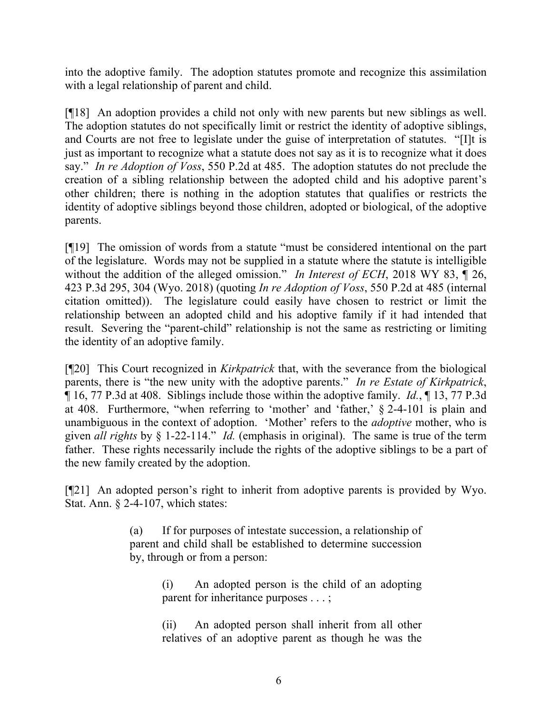into the adoptive family. The adoption statutes promote and recognize this assimilation with a legal relationship of parent and child.

[¶18] An adoption provides a child not only with new parents but new siblings as well. The adoption statutes do not specifically limit or restrict the identity of adoptive siblings, and Courts are not free to legislate under the guise of interpretation of statutes. "[I]t is just as important to recognize what a statute does not say as it is to recognize what it does say." *In re Adoption of Voss*, 550 P.2d at 485. The adoption statutes do not preclude the creation of a sibling relationship between the adopted child and his adoptive parent's other children; there is nothing in the adoption statutes that qualifies or restricts the identity of adoptive siblings beyond those children, adopted or biological, of the adoptive parents.

[¶19] The omission of words from a statute "must be considered intentional on the part of the legislature. Words may not be supplied in a statute where the statute is intelligible without the addition of the alleged omission." *In Interest of ECH*, 2018 WY 83,  $\parallel$  26, 423 P.3d 295, 304 (Wyo. 2018) (quoting *In re Adoption of Voss*, 550 P.2d at 485 (internal citation omitted)). The legislature could easily have chosen to restrict or limit the relationship between an adopted child and his adoptive family if it had intended that result. Severing the "parent-child" relationship is not the same as restricting or limiting the identity of an adoptive family.

[¶20] This Court recognized in *Kirkpatrick* that, with the severance from the biological parents, there is "the new unity with the adoptive parents." *In re Estate of Kirkpatrick*, ¶ 16, 77 P.3d at 408. Siblings include those within the adoptive family. *Id.*, ¶ 13, 77 P.3d at 408. Furthermore, "when referring to 'mother' and 'father,' § 2-4-101 is plain and unambiguous in the context of adoption. 'Mother' refers to the *adoptive* mother, who is given *all rights* by § 1-22-114." *Id.* (emphasis in original). The same is true of the term father. These rights necessarily include the rights of the adoptive siblings to be a part of the new family created by the adoption.

[¶21] An adopted person's right to inherit from adoptive parents is provided by Wyo. Stat. Ann. § 2-4-107, which states:

> (a) If for purposes of intestate succession, a relationship of parent and child shall be established to determine succession by, through or from a person:

> > (i) An adopted person is the child of an adopting parent for inheritance purposes . . . ;

> > (ii) An adopted person shall inherit from all other relatives of an adoptive parent as though he was the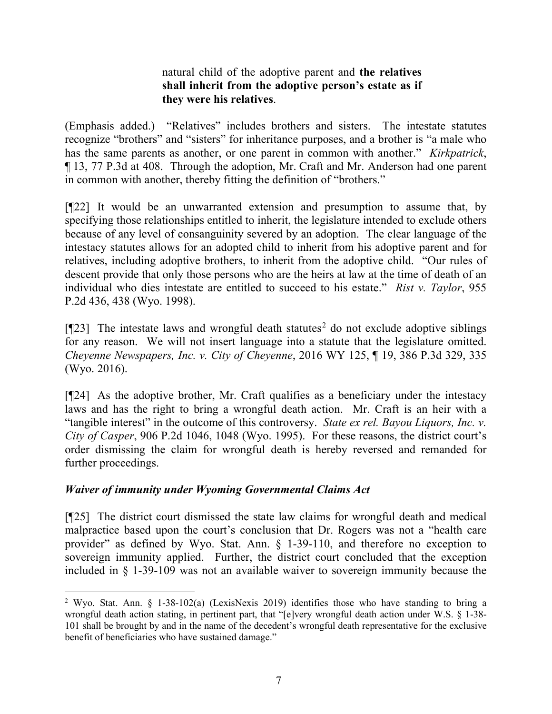## natural child of the adoptive parent and **the relatives shall inherit from the adoptive person's estate as if they were his relatives**.

(Emphasis added.) "Relatives" includes brothers and sisters. The intestate statutes recognize "brothers" and "sisters" for inheritance purposes, and a brother is "a male who has the same parents as another, or one parent in common with another." *Kirkpatrick*, ¶ 13, 77 P.3d at 408. Through the adoption, Mr. Craft and Mr. Anderson had one parent in common with another, thereby fitting the definition of "brothers."

[¶22] It would be an unwarranted extension and presumption to assume that, by specifying those relationships entitled to inherit, the legislature intended to exclude others because of any level of consanguinity severed by an adoption. The clear language of the intestacy statutes allows for an adopted child to inherit from his adoptive parent and for relatives, including adoptive brothers, to inherit from the adoptive child. "Our rules of descent provide that only those persons who are the heirs at law at the time of death of an individual who dies intestate are entitled to succeed to his estate." *Rist v. Taylor*, 955 P.2d 436, 438 (Wyo. 1998).

 $[\P{23}]$  $[\P{23}]$  $[\P{23}]$  The intestate laws and wrongful death statutes<sup>2</sup> do not exclude adoptive siblings for any reason. We will not insert language into a statute that the legislature omitted. *Cheyenne Newspapers, Inc. v. City of Cheyenne*, 2016 WY 125, ¶ 19, 386 P.3d 329, 335 (Wyo. 2016).

[¶24] As the adoptive brother, Mr. Craft qualifies as a beneficiary under the intestacy laws and has the right to bring a wrongful death action. Mr. Craft is an heir with a "tangible interest" in the outcome of this controversy. *State ex rel. Bayou Liquors, Inc. v. City of Casper*, 906 P.2d 1046, 1048 (Wyo. 1995). For these reasons, the district court's order dismissing the claim for wrongful death is hereby reversed and remanded for further proceedings.

## *Waiver of immunity under Wyoming Governmental Claims Act*

[¶25] The district court dismissed the state law claims for wrongful death and medical malpractice based upon the court's conclusion that Dr. Rogers was not a "health care provider" as defined by Wyo. Stat. Ann. § 1-39-110, and therefore no exception to sovereign immunity applied. Further, the district court concluded that the exception included in § 1-39-109 was not an available waiver to sovereign immunity because the

<span id="page-8-0"></span><sup>2</sup> Wyo. Stat. Ann. § 1-38-102(a) (LexisNexis 2019) identifies those who have standing to bring a wrongful death action stating, in pertinent part, that "[e]very wrongful death action under W.S. § 1-38- 101 shall be brought by and in the name of the decedent's wrongful death representative for the exclusive benefit of beneficiaries who have sustained damage."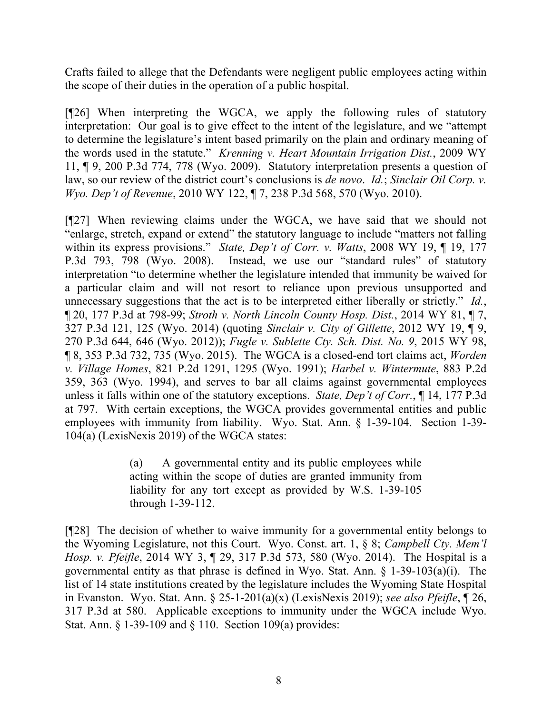Crafts failed to allege that the Defendants were negligent public employees acting within the scope of their duties in the operation of a public hospital.

[¶26] When interpreting the WGCA, we apply the following rules of statutory interpretation: Our goal is to give effect to the intent of the legislature, and we "attempt to determine the legislature's intent based primarily on the plain and ordinary meaning of the words used in the statute." *Krenning v. Heart Mountain Irrigation Dist.*, 2009 WY 11, ¶ 9, 200 P.3d 774, 778 (Wyo. 2009). Statutory interpretation presents a question of law, so our review of the district court's conclusions is *de novo*. *Id.*; *Sinclair Oil Corp. v. Wyo. Dep't of Revenue*, 2010 WY 122, ¶ 7, 238 P.3d 568, 570 (Wyo. 2010).

[¶27] When reviewing claims under the WGCA, we have said that we should not "enlarge, stretch, expand or extend" the statutory language to include "matters not falling within its express provisions." *State, Dep't of Corr. v. Watts*, 2008 WY 19, ¶ 19, 177 P.3d 793, 798 (Wyo. 2008). Instead, we use our "standard rules" of statutory interpretation "to determine whether the legislature intended that immunity be waived for a particular claim and will not resort to reliance upon previous unsupported and unnecessary suggestions that the act is to be interpreted either liberally or strictly." *Id.*, ¶ 20, 177 P.3d at 798-99; *Stroth v. North Lincoln County Hosp. Dist.*, 2014 WY 81, ¶ 7, 327 P.3d 121, 125 (Wyo. 2014) (quoting *Sinclair v. City of Gillette*, 2012 WY 19, ¶ 9, 270 P.3d 644, 646 (Wyo. 2012)); *Fugle v. Sublette Cty. Sch. Dist. No. 9*, 2015 WY 98, ¶ 8, 353 P.3d 732, 735 (Wyo. 2015). The WGCA is a closed-end tort claims act, *Worden v. Village Homes*, 821 P.2d 1291, 1295 (Wyo. 1991); *Harbel v. Wintermute*, 883 P.2d 359, 363 (Wyo. 1994), and serves to bar all claims against governmental employees unless it falls within one of the statutory exceptions. *State, Dep't of Corr.*, ¶ 14, 177 P.3d at 797. With certain exceptions, the WGCA provides governmental entities and public employees with immunity from liability. Wyo. Stat. Ann. § 1-39-104. Section 1-39- 104(a) (LexisNexis 2019) of the WGCA states:

> (a) A governmental entity and its public employees while acting within the scope of duties are granted immunity from liability for any tort except as provided by W.S. 1-39-105 through 1-39-112.

[¶28] The decision of whether to waive immunity for a governmental entity belongs to the Wyoming Legislature, not this Court. Wyo. Const. art. 1, § 8; *Campbell Cty. Mem'l Hosp. v. Pfeifle*, 2014 WY 3, ¶ 29, 317 P.3d 573, 580 (Wyo. 2014). The Hospital is a governmental entity as that phrase is defined in Wyo. Stat. Ann.  $\S$  1-39-103(a)(i). The list of 14 state institutions created by the legislature includes the Wyoming State Hospital in Evanston. Wyo. Stat. Ann. § 25-1-201(a)(x) (LexisNexis 2019); *see also Pfeifle*, ¶ 26, 317 P.3d at 580. Applicable exceptions to immunity under the WGCA include Wyo. Stat. Ann. § 1-39-109 and § 110. Section 109(a) provides: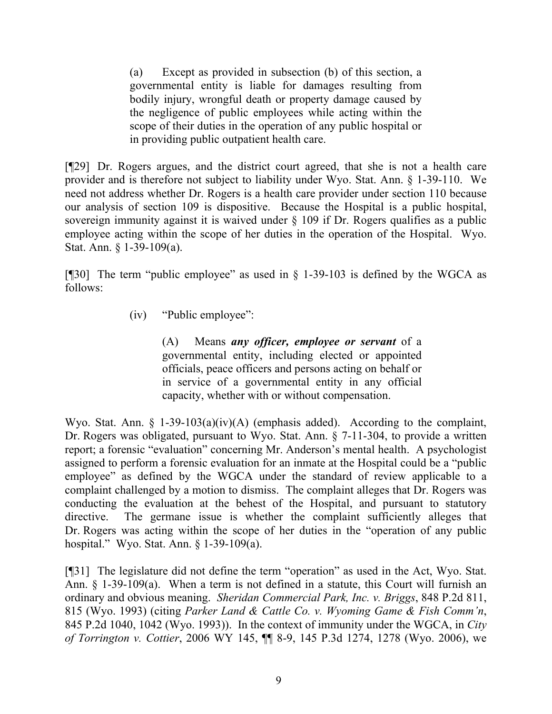(a) Except as provided in subsection (b) of this section, a governmental entity is liable for damages resulting from bodily injury, wrongful death or property damage caused by the negligence of public employees while acting within the scope of their duties in the operation of any public hospital or in providing public outpatient health care.

[¶29] Dr. Rogers argues, and the district court agreed, that she is not a health care provider and is therefore not subject to liability under Wyo. Stat. Ann. § 1-39-110. We need not address whether Dr. Rogers is a health care provider under section 110 because our analysis of section 109 is dispositive. Because the Hospital is a public hospital, sovereign immunity against it is waived under § 109 if Dr. Rogers qualifies as a public employee acting within the scope of her duties in the operation of the Hospital. Wyo. Stat. Ann. § 1-39-109(a).

[¶30] The term "public employee" as used in § 1-39-103 is defined by the WGCA as follows:

(iv) "Public employee":

(A) Means *any officer, employee or servant* of a governmental entity, including elected or appointed officials, peace officers and persons acting on behalf or in service of a governmental entity in any official capacity, whether with or without compensation.

Wyo. Stat. Ann. § 1-39-103(a)(iv)(A) (emphasis added). According to the complaint, Dr. Rogers was obligated, pursuant to Wyo. Stat. Ann. § 7-11-304, to provide a written report; a forensic "evaluation" concerning Mr. Anderson's mental health. A psychologist assigned to perform a forensic evaluation for an inmate at the Hospital could be a "public employee" as defined by the WGCA under the standard of review applicable to a complaint challenged by a motion to dismiss. The complaint alleges that Dr. Rogers was conducting the evaluation at the behest of the Hospital, and pursuant to statutory directive. The germane issue is whether the complaint sufficiently alleges that Dr. Rogers was acting within the scope of her duties in the "operation of any public hospital." Wyo. Stat. Ann. § 1-39-109(a).

[¶31] The legislature did not define the term "operation" as used in the Act, Wyo. Stat. Ann. § 1-39-109(a). When a term is not defined in a statute, this Court will furnish an ordinary and obvious meaning. *Sheridan Commercial Park, Inc. v. Briggs*, 848 P.2d 811, 815 (Wyo. 1993) (citing *Parker Land & Cattle Co. v. Wyoming Game & Fish Comm'n*, 845 P.2d 1040, 1042 (Wyo. 1993)). In the context of immunity under the WGCA, in *City of Torrington v. Cottier*, 2006 WY 145, ¶¶ 8-9, 145 P.3d 1274, 1278 (Wyo. 2006), we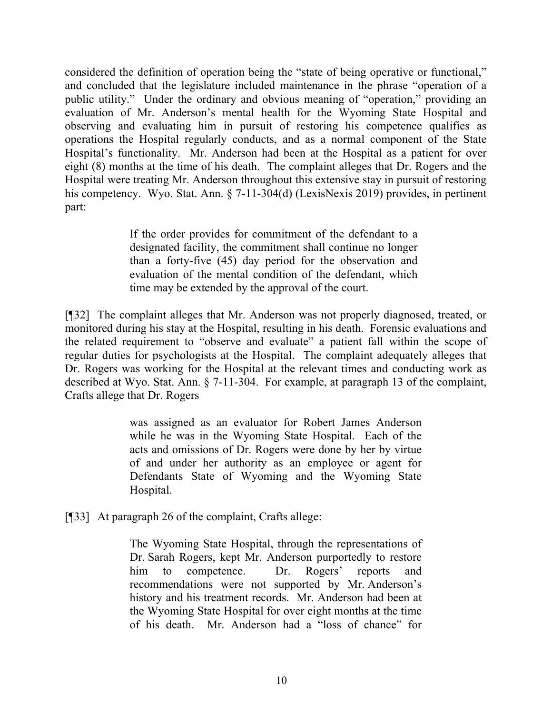considered the definition of operation being the "state of being operative or functional," and concluded that the legislature included maintenance in the phrase "operation of a public utility." Under the ordinary and obvious meaning of "operation," providing an evaluation of Mr. Anderson's mental health for the Wyoming State Hospital and observing and evaluating him in pursuit of restoring his competence qualifies as operations the Hospital regularly conducts, and as a normal component of the State Hospital's functionality. Mr. Anderson had been at the Hospital as a patient for over eight (8) months at the time of his death. The complaint alleges that Dr. Rogers and the Hospital were treating Mr. Anderson throughout this extensive stay in pursuit of restoring his competency. Wyo. Stat. Ann. § 7-11-304(d) (LexisNexis 2019) provides, in pertinent part:

> If the order provides for commitment of the defendant to a designated facility, the commitment shall continue no longer than a forty-five (45) day period for the observation and evaluation of the mental condition of the defendant, which time may be extended by the approval of the court.

[¶32] The complaint alleges that Mr. Anderson was not properly diagnosed, treated, or monitored during his stay at the Hospital, resulting in his death. Forensic evaluations and the related requirement to "observe and evaluate" a patient fall within the scope of regular duties for psychologists at the Hospital. The complaint adequately alleges that Dr. Rogers was working for the Hospital at the relevant times and conducting work as described at Wyo. Stat. Ann. § 7-11-304. For example, at paragraph 13 of the complaint, Crafts allege that Dr. Rogers

> was assigned as an evaluator for Robert James Anderson while he was in the Wyoming State Hospital. Each of the acts and omissions of Dr. Rogers were done by her by virtue of and under her authority as an employee or agent for Defendants State of Wyoming and the Wyoming State Hospital.

[¶33] At paragraph 26 of the complaint, Crafts allege:

The Wyoming State Hospital, through the representations of Dr. Sarah Rogers, kept Mr. Anderson purportedly to restore him to competence. Dr. Rogers' reports and recommendations were not supported by Mr. Anderson's history and his treatment records. Mr. Anderson had been at the Wyoming State Hospital for over eight months at the time of his death. Mr. Anderson had a "loss of chance" for